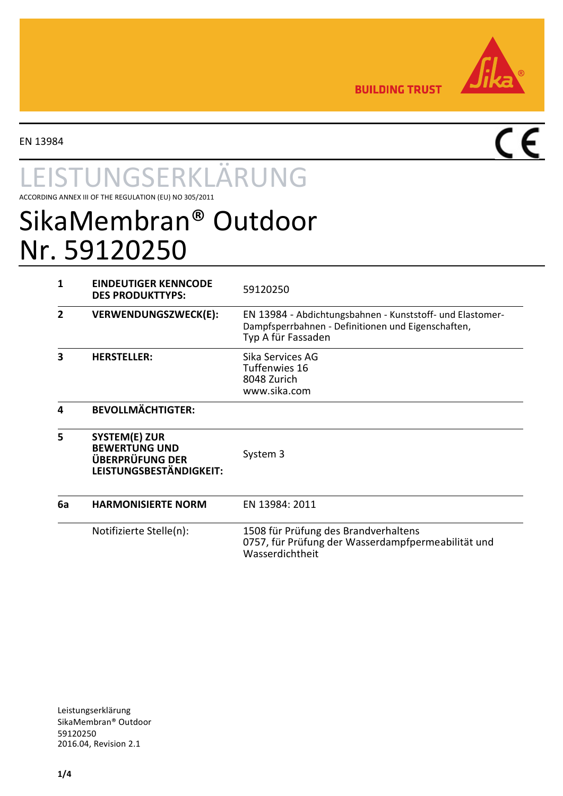

**BUILDING TRUST** 

EN 13984

 $\overline{\overline{\mathsf{CE}}}$ 

# UNGSERKLÄRUNG

ACCORDING ANNEX III OF THE REGULATION (EU) NO 305/2011

# SikaMembran® Outdoor Nr. 59120250

| 1  | <b>EINDEUTIGER KENNCODE</b><br><b>DES PRODUKTTYPS:</b>                                            | 59120250                                                                                                                              |  |
|----|---------------------------------------------------------------------------------------------------|---------------------------------------------------------------------------------------------------------------------------------------|--|
| 2  | VERWENDUNGSZWECK(E):                                                                              | EN 13984 - Abdichtungsbahnen - Kunststoff- und Elastomer-<br>Dampfsperrbahnen - Definitionen und Eigenschaften,<br>Typ A für Fassaden |  |
| 3  | <b>HERSTELLER:</b>                                                                                | Sika Services AG<br><b>Tuffenwies 16</b><br>8048 Zurich<br>www.sika.com                                                               |  |
| 4  | <b>BEVOLLMÄCHTIGTER:</b>                                                                          |                                                                                                                                       |  |
| 5  | <b>SYSTEM(E) ZUR</b><br><b>BEWERTUNG UND</b><br><b>ÜBERPRÜFUNG DER</b><br>LEISTUNGSBESTÄNDIGKEIT: | System 3                                                                                                                              |  |
| 6a | <b>HARMONISIERTE NORM</b>                                                                         | EN 13984: 2011                                                                                                                        |  |
|    | Notifizierte Stelle(n):                                                                           | 1508 für Prüfung des Brandverhaltens<br>0757, für Prüfung der Wasserdampfpermeabilität und<br>Wasserdichtheit                         |  |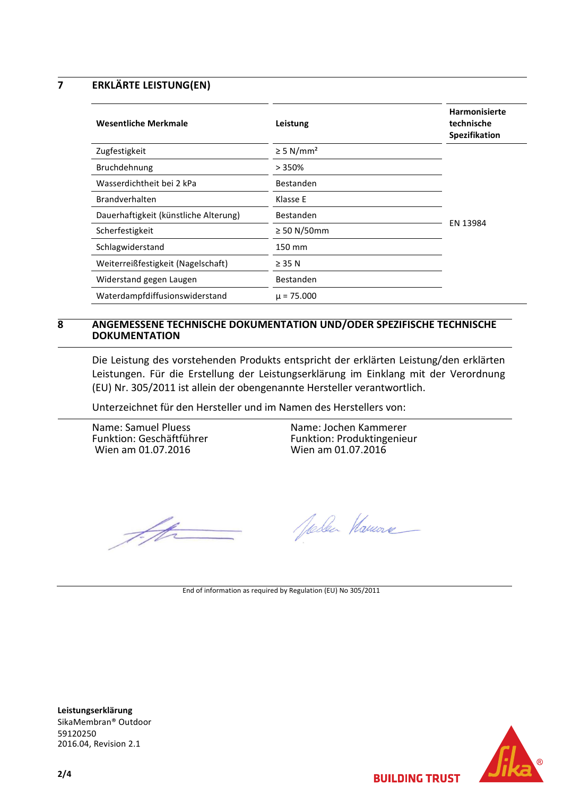**7 ERKLÄRTE LEISTUNG(EN)**

<span id="page-1-0"></span>

| <b>Wesentliche Merkmale</b>           | Leistung                   | <b>Harmonisierte</b><br>technische<br>Spezifikation |
|---------------------------------------|----------------------------|-----------------------------------------------------|
| Zugfestigkeit                         | $\geq$ 5 N/mm <sup>2</sup> |                                                     |
| Bruchdehnung                          | >350%                      |                                                     |
| Wasserdichtheit bei 2 kPa             | Bestanden                  |                                                     |
| <b>Brandverhalten</b>                 | Klasse E                   | EN 13984                                            |
| Dauerhaftigkeit (künstliche Alterung) | Bestanden                  |                                                     |
| Scherfestigkeit                       | $\geq$ 50 N/50mm           |                                                     |
| Schlagwiderstand                      | 150 mm                     |                                                     |
| Weiterreißfestigkeit (Nagelschaft)    | $\geq$ 35 N                |                                                     |
| Widerstand gegen Laugen               | Bestanden                  |                                                     |
| Waterdampfdiffusionswiderstand        | $\mu$ = 75.000             |                                                     |

#### **8 ANGEMESSENE TECHNISCHE DOKUMENTATION UND/ODER SPEZIFISCHE TECHNISCHE DOKUMENTATION**

Die Leistung des vorstehenden Produkts entspricht der erklärten Leistung/den erklärten Leistungen. Für die Erstellung der Leistungserklärung im Einklang mit der Verordnung (EU) Nr. 305/2011 ist allein der obengenannte Hersteller verantwortlich.

Unterzeichnet für den Hersteller und im Namen des Herstellers von:

Name: Samuel Pluess Funktion: Geschäftführer Wien am 01.07.2016

Name: Jochen Kammerer Funktion: Produktingenieur Wien am 01.07.2016

T. fts

Joden Hamore

End of information as required by Regulation (EU) No 305/2011

**Leistungserklärung** SikaMembran® Outdoor 59120250 2016.04, Revision 2.1



**BUILDING TRUST**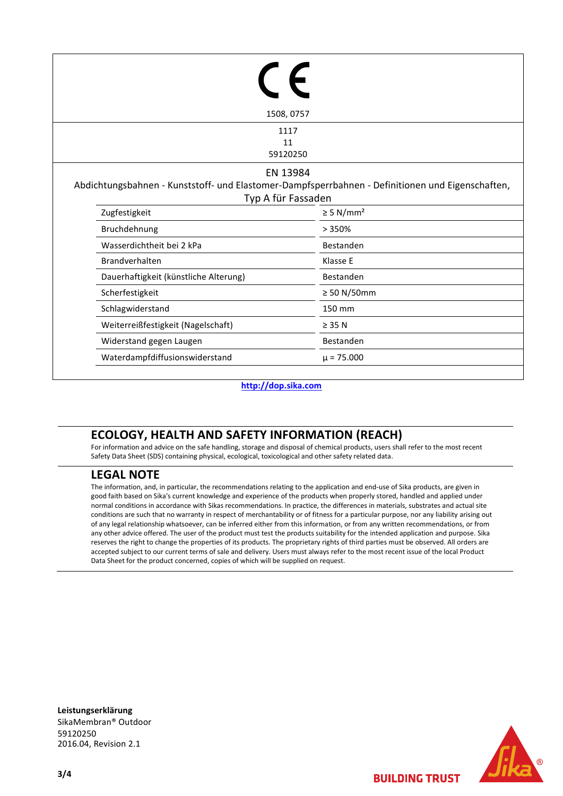|                    | 1508, 0757                            |                                                                                                  |  |  |  |
|--------------------|---------------------------------------|--------------------------------------------------------------------------------------------------|--|--|--|
|                    |                                       | 1117                                                                                             |  |  |  |
|                    |                                       | 11<br>59120250                                                                                   |  |  |  |
|                    |                                       |                                                                                                  |  |  |  |
|                    | EN 13984                              |                                                                                                  |  |  |  |
|                    |                                       | Abdichtungsbahnen - Kunststoff- und Elastomer-Dampfsperrbahnen - Definitionen und Eigenschaften, |  |  |  |
| Typ A für Fassaden |                                       |                                                                                                  |  |  |  |
|                    | Zugfestigkeit                         | $\geq 5$ N/mm <sup>2</sup>                                                                       |  |  |  |
|                    | Bruchdehnung                          | >350%                                                                                            |  |  |  |
|                    | Wasserdichtheit bei 2 kPa             | Bestanden                                                                                        |  |  |  |
|                    | <b>Brandverhalten</b>                 | Klasse E                                                                                         |  |  |  |
|                    | Dauerhaftigkeit (künstliche Alterung) | Bestanden                                                                                        |  |  |  |
|                    | Scherfestigkeit                       | $\geq 50$ N/50mm                                                                                 |  |  |  |
|                    | Schlagwiderstand                      | 150 mm                                                                                           |  |  |  |
|                    | Weiterreißfestigkeit (Nagelschaft)    | $\geq$ 35 N                                                                                      |  |  |  |
|                    | Widerstand gegen Laugen               | Bestanden                                                                                        |  |  |  |
|                    | Waterdampfdiffusionswiderstand        | $\mu$ = 75.000                                                                                   |  |  |  |

**[http://dop.sika.com](http://dop.sika.com/)**

## **ECOLOGY, HEALTH AND SAFETY INFORMATION (REACH)**

For information and advice on the safe handling, storage and disposal of chemical products, users shall refer to the most recent Safety Data Sheet (SDS) containing physical, ecological, toxicological and other safety related data.

### **LEGAL NOTE**

The information, and, in particular, the recommendations relating to the application and end-use of Sika products, are given in good faith based on Sika's current knowledge and experience of the products when properly stored, handled and applied under normal conditions in accordance with Sikas recommendations. In practice, the differences in materials, substrates and actual site conditions are such that no warranty in respect of merchantability or of fitness for a particular purpose, nor any liability arising out of any legal relationship whatsoever, can be inferred either from this information, or from any written recommendations, or from any other advice offered. The user of the product must test the products suitability for the intended application and purpose. Sika reserves the right to change the properties of its products. The proprietary rights of third parties must be observed. All orders are accepted subject to our current terms of sale and delivery. Users must always refer to the most recent issue of the local Product Data Sheet for the product concerned, copies of which will be supplied on request.

**Leistungserklärung** SikaMembran® Outdoor 59120250 2016.04, Revision 2.1